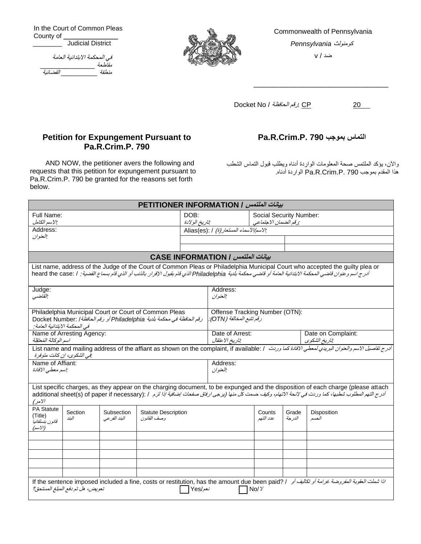In the Court of Common Pleas County of \_\_\_\_\_\_\_\_ Judicial District

| في المحكمة الابتدائية العامة |        |  |  |  |  |
|------------------------------|--------|--|--|--|--|
|                              | مقلطعة |  |  |  |  |
| القضائية                     | منطقة  |  |  |  |  |



Commonwealth of Pennsylvania كومنولث *Pennsylvania*

ضد / v

\_\_\_\_\_\_\_\_\_\_\_\_\_\_\_\_\_\_\_\_\_\_\_\_\_\_\_\_\_\_\_\_

Docket No / الحافظة رقم: CP 20

## **Petition for Expungement Pursuant to Pa.R.Crim.P. 790**

AND NOW, the petitioner avers the following and requests that this petition for expungement pursuant to Pa.R.Crim.P. 790 be granted for the reasons set forth below.

## **Pa.R.Crim.P. 790 بموجب التماس**

واآلن، يؤكد الملتمس صحة المعلومات الواردة أدناه ويطلب قبول التماس الشطب هذا المقدم بموجب 790 .P.Crim.R.Pa الواردة أدناه.

| بيانات العلتمس / PETITIONER INFORMATION                                                                                                                                                                                                                                                                   |                                  |                             |                                           |                                                            |                                                 |                     |                                    |                                                                                                                                                                                               |  |  |
|-----------------------------------------------------------------------------------------------------------------------------------------------------------------------------------------------------------------------------------------------------------------------------------------------------------|----------------------------------|-----------------------------|-------------------------------------------|------------------------------------------------------------|-------------------------------------------------|---------------------|------------------------------------|-----------------------------------------------------------------------------------------------------------------------------------------------------------------------------------------------|--|--|
| Full Name:<br>:الاسم الكامل                                                                                                                                                                                                                                                                               |                                  |                             | DOB:<br>تاريخ الولادة                     |                                                            | Social Security Number:<br>رقم الضمان الاجتماعي |                     |                                    |                                                                                                                                                                                               |  |  |
| Address:                                                                                                                                                                                                                                                                                                  |                                  |                             |                                           |                                                            | : الاسم /الأسماء المستعار (ة) / Alias(es):      |                     |                                    |                                                                                                                                                                                               |  |  |
| العنوان                                                                                                                                                                                                                                                                                                   |                                  |                             |                                           |                                                            |                                                 |                     |                                    |                                                                                                                                                                                               |  |  |
|                                                                                                                                                                                                                                                                                                           |                                  |                             |                                           |                                                            |                                                 |                     |                                    |                                                                                                                                                                                               |  |  |
| بيانات الملتمس / CASE INFORMATION                                                                                                                                                                                                                                                                         |                                  |                             |                                           |                                                            |                                                 |                     |                                    |                                                                                                                                                                                               |  |  |
| List name, address of the Judge of the Court of Common Pleas or Philadelphia Municipal Court who accepted the guilty plea or<br>أدرج اسم و عنوان قاضي المحكمة الابتدائية العامة أو قاضي محكمة بلدية Philadelphia الذي قام بقيول الإقرار بالذنب أو الذي قام بسماع القضية:   / heard the case:              |                                  |                             |                                           |                                                            |                                                 |                     |                                    |                                                                                                                                                                                               |  |  |
| Judge:<br>القاضبي                                                                                                                                                                                                                                                                                         |                                  |                             |                                           |                                                            | Address:<br>العنوان                             |                     |                                    |                                                                                                                                                                                               |  |  |
| Philadelphia Municipal Court or Court of Common Pleas<br>رقم الحافظة في محكمة بلدية Philadelphia أو رقم الحافظة/ :Docket Number<br>في المحكمة الابتدائية العامة :                                                                                                                                         |                                  |                             |                                           | Offense Tracking Number (OTN):<br>رقم تتبع المخالفة (OTN): |                                                 |                     |                                    |                                                                                                                                                                                               |  |  |
| Name of Arresting Agency:<br>اسم الوكالة المُعتقِلة                                                                                                                                                                                                                                                       |                                  |                             |                                           | Date of Arrest:<br>تاريخ الاعتقال                          |                                                 |                     | Date on Complaint:<br>تاريخ الشكوى |                                                                                                                                                                                               |  |  |
|                                                                                                                                                                                                                                                                                                           | :في الشكوى، إن كانت متوفرة       |                             |                                           |                                                            |                                                 |                     |                                    | أدرج تفاصيل الاسم والعنوان البريدي لمعطى الافادة كما وردت / . List name and mailing address of the affiant as shown on the complaint, if available                                            |  |  |
| Name of Affiant:<br>اسم معطى الإفادة                                                                                                                                                                                                                                                                      |                                  |                             |                                           | Address:<br>العنوان                                        |                                                 |                     |                                    |                                                                                                                                                                                               |  |  |
| List specific charges, as they appear on the charging document, to be expunged and the disposition of each charge (please attach<br>أدرج التهم المطلوب شطبها، كما وردت في لائحة الاتهام، وكيف حست كل منها (بزجي ارفاق صفحات ابضافية إذا لزم / : additional sheet(s) of paper if necessary)<br>$\sqrt{V'}$ |                                  |                             |                                           |                                                            |                                                 |                     |                                    |                                                                                                                                                                                               |  |  |
| <b>PA Statute</b><br>(Title)<br>قانون بنسلفانيا<br>(الأسم)                                                                                                                                                                                                                                                | Section<br>الىند                 | Subsection<br>البند الفر عي | <b>Statute Description</b><br>وصف القانون |                                                            |                                                 | Counts<br>عدد التهم | Grade<br>الدر جة                   | <b>Disposition</b><br>الحسم                                                                                                                                                                   |  |  |
|                                                                                                                                                                                                                                                                                                           |                                  |                             |                                           |                                                            |                                                 |                     |                                    |                                                                                                                                                                                               |  |  |
|                                                                                                                                                                                                                                                                                                           |                                  |                             |                                           |                                                            |                                                 |                     |                                    |                                                                                                                                                                                               |  |  |
|                                                                                                                                                                                                                                                                                                           |                                  |                             |                                           |                                                            |                                                 |                     |                                    |                                                                                                                                                                                               |  |  |
|                                                                                                                                                                                                                                                                                                           |                                  |                             |                                           |                                                            |                                                 |                     |                                    |                                                                                                                                                                                               |  |  |
|                                                                                                                                                                                                                                                                                                           | تعويض، هل تم دفع المبلغ المستحق؟ |                             |                                           | نعم/Yes                                                    |                                                 | No/Y                |                                    | اذا شعلت العقوبة العفوروضة خوامة أو تكاليف أو    / If the sentence imposed included a fine, costs or restitution, has the amount due been paid? اذا شعلت العقوبة العفوروضة خوامة أو تكاليف أو |  |  |